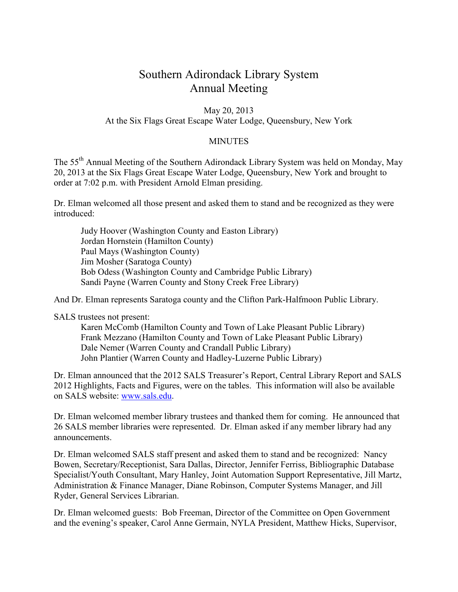# Southern Adirondack Library System Annual Meeting

### May 20, 2013 At the Six Flags Great Escape Water Lodge, Queensbury, New York

#### MINUTES

The 55th Annual Meeting of the Southern Adirondack Library System was held on Monday, May 20, 2013 at the Six Flags Great Escape Water Lodge, Queensbury, New York and brought to order at 7:02 p.m. with President Arnold Elman presiding.

Dr. Elman welcomed all those present and asked them to stand and be recognized as they were introduced:

 Judy Hoover (Washington County and Easton Library) Jordan Hornstein (Hamilton County) Paul Mays (Washington County) Jim Mosher (Saratoga County) Bob Odess (Washington County and Cambridge Public Library) Sandi Payne (Warren County and Stony Creek Free Library)

And Dr. Elman represents Saratoga county and the Clifton Park-Halfmoon Public Library.

SALS trustees not present:

 Karen McComb (Hamilton County and Town of Lake Pleasant Public Library) Frank Mezzano (Hamilton County and Town of Lake Pleasant Public Library) Dale Nemer (Warren County and Crandall Public Library) John Plantier (Warren County and Hadley-Luzerne Public Library)

Dr. Elman announced that the 2012 SALS Treasurer's Report, Central Library Report and SALS 2012 Highlights, Facts and Figures, were on the tables. This information will also be available on SALS website: www.sals.edu.

Dr. Elman welcomed member library trustees and thanked them for coming. He announced that 26 SALS member libraries were represented. Dr. Elman asked if any member library had any announcements.

Dr. Elman welcomed SALS staff present and asked them to stand and be recognized: Nancy Bowen, Secretary/Receptionist, Sara Dallas, Director, Jennifer Ferriss, Bibliographic Database Specialist/Youth Consultant, Mary Hanley, Joint Automation Support Representative, Jill Martz, Administration & Finance Manager, Diane Robinson, Computer Systems Manager, and Jill Ryder, General Services Librarian.

Dr. Elman welcomed guests: Bob Freeman, Director of the Committee on Open Government and the evening's speaker, Carol Anne Germain, NYLA President, Matthew Hicks, Supervisor,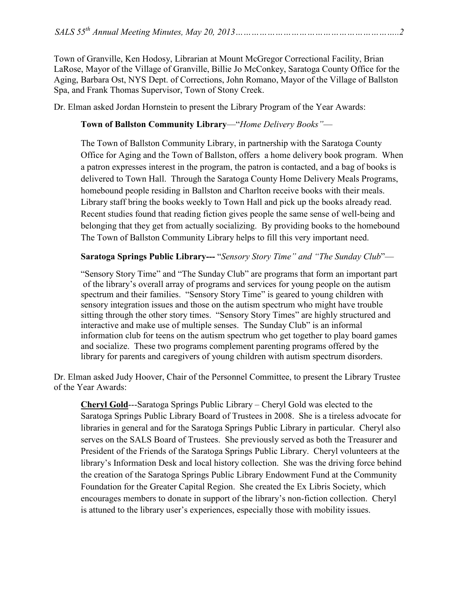Town of Granville, Ken Hodosy, Librarian at Mount McGregor Correctional Facility, Brian LaRose, Mayor of the Village of Granville, Billie Jo McConkey, Saratoga County Office for the Aging, Barbara Ost, NYS Dept. of Corrections, John Romano, Mayor of the Village of Ballston Spa, and Frank Thomas Supervisor, Town of Stony Creek.

Dr. Elman asked Jordan Hornstein to present the Library Program of the Year Awards:

## **Town of Ballston Community Library**—"*Home Delivery Books"*—

The Town of Ballston Community Library, in partnership with the Saratoga County Office for Aging and the Town of Ballston, offers a home delivery book program. When a patron expresses interest in the program, the patron is contacted, and a bag of books is delivered to Town Hall. Through the Saratoga County Home Delivery Meals Programs, homebound people residing in Ballston and Charlton receive books with their meals. Library staff bring the books weekly to Town Hall and pick up the books already read. Recent studies found that reading fiction gives people the same sense of well-being and belonging that they get from actually socializing. By providing books to the homebound The Town of Ballston Community Library helps to fill this very important need.

## **Saratoga Springs Public Library---** "*Sensory Story Time" and "The Sunday Club*"—

"Sensory Story Time" and "The Sunday Club" are programs that form an important part of the library's overall array of programs and services for young people on the autism spectrum and their families. "Sensory Story Time" is geared to young children with sensory integration issues and those on the autism spectrum who might have trouble sitting through the other story times. "Sensory Story Times" are highly structured and interactive and make use of multiple senses. The Sunday Club" is an informal information club for teens on the autism spectrum who get together to play board games and socialize. These two programs complement parenting programs offered by the library for parents and caregivers of young children with autism spectrum disorders.

Dr. Elman asked Judy Hoover, Chair of the Personnel Committee, to present the Library Trustee of the Year Awards:

**Cheryl Gold**---Saratoga Springs Public Library – Cheryl Gold was elected to the Saratoga Springs Public Library Board of Trustees in 2008. She is a tireless advocate for libraries in general and for the Saratoga Springs Public Library in particular. Cheryl also serves on the SALS Board of Trustees. She previously served as both the Treasurer and President of the Friends of the Saratoga Springs Public Library. Cheryl volunteers at the library's Information Desk and local history collection. She was the driving force behind the creation of the Saratoga Springs Public Library Endowment Fund at the Community Foundation for the Greater Capital Region. She created the Ex Libris Society, which encourages members to donate in support of the library's non-fiction collection. Cheryl is attuned to the library user's experiences, especially those with mobility issues.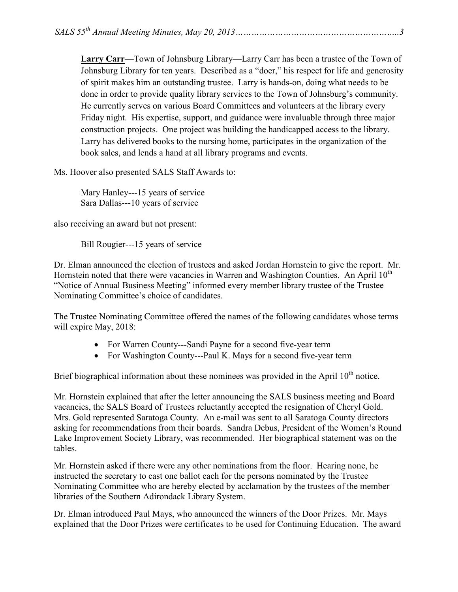**Larry Carr**—Town of Johnsburg Library—Larry Carr has been a trustee of the Town of Johnsburg Library for ten years. Described as a "doer," his respect for life and generosity of spirit makes him an outstanding trustee. Larry is hands-on, doing what needs to be done in order to provide quality library services to the Town of Johnsburg's community. He currently serves on various Board Committees and volunteers at the library every Friday night. His expertise, support, and guidance were invaluable through three major construction projects. One project was building the handicapped access to the library. Larry has delivered books to the nursing home, participates in the organization of the book sales, and lends a hand at all library programs and events.

Ms. Hoover also presented SALS Staff Awards to:

Mary Hanley---15 years of service Sara Dallas---10 years of service

also receiving an award but not present:

Bill Rougier---15 years of service

Dr. Elman announced the election of trustees and asked Jordan Hornstein to give the report. Mr. Hornstein noted that there were vacancies in Warren and Washington Counties. An April  $10<sup>th</sup>$ "Notice of Annual Business Meeting" informed every member library trustee of the Trustee Nominating Committee's choice of candidates.

The Trustee Nominating Committee offered the names of the following candidates whose terms will expire May, 2018:

- For Warren County---Sandi Payne for a second five-year term
- For Washington County---Paul K. Mays for a second five-year term

Brief biographical information about these nominees was provided in the April  $10<sup>th</sup>$  notice.

Mr. Hornstein explained that after the letter announcing the SALS business meeting and Board vacancies, the SALS Board of Trustees reluctantly accepted the resignation of Cheryl Gold. Mrs. Gold represented Saratoga County. An e-mail was sent to all Saratoga County directors asking for recommendations from their boards. Sandra Debus, President of the Women's Round Lake Improvement Society Library, was recommended. Her biographical statement was on the tables.

Mr. Hornstein asked if there were any other nominations from the floor. Hearing none, he instructed the secretary to cast one ballot each for the persons nominated by the Trustee Nominating Committee who are hereby elected by acclamation by the trustees of the member libraries of the Southern Adirondack Library System.

Dr. Elman introduced Paul Mays, who announced the winners of the Door Prizes. Mr. Mays explained that the Door Prizes were certificates to be used for Continuing Education. The award